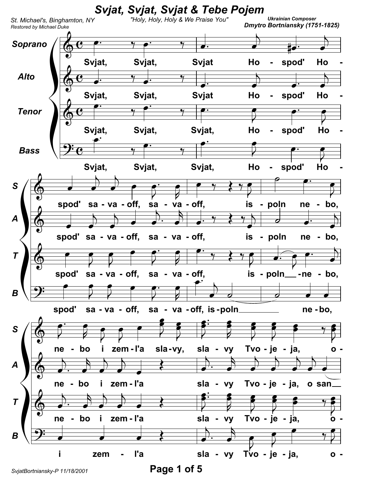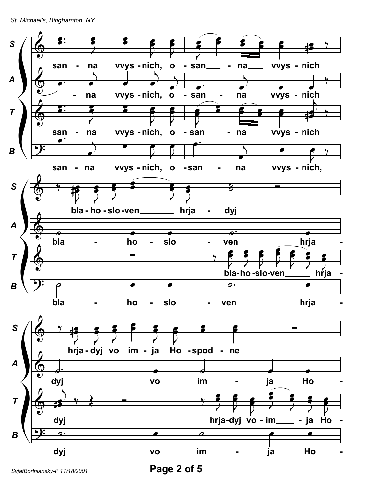St. Michael's, Binghamton, NY



SvjatBortniansky-P 11/18/2001

Page 2 of 5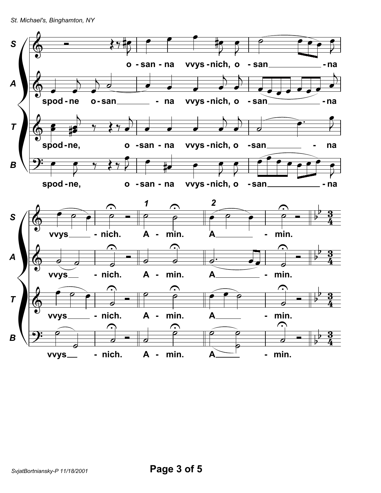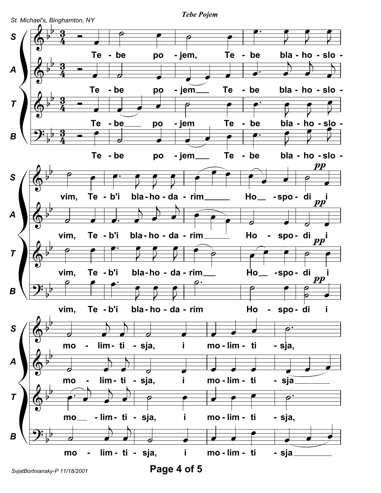